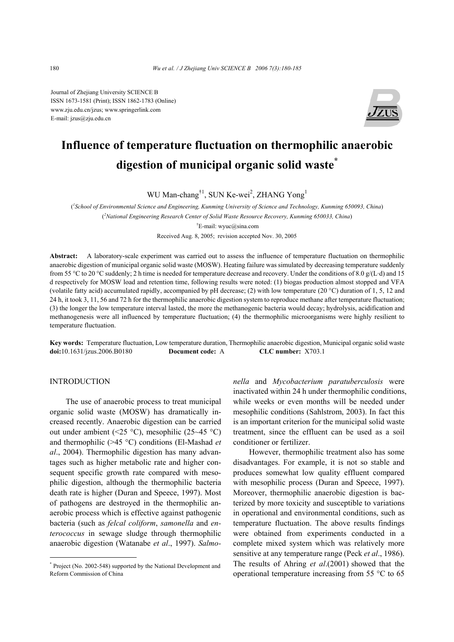Journal of Zhejiang University SCIENCE B ISSN 1673-1581 (Print); ISSN 1862-1783 (Online) www.zju.edu.cn/jzus; www.springerlink.com E-mail: jzus@zju.edu.cn



# **Influence of temperature fluctuation on thermophilic anaerobic digestion of municipal organic solid waste\***

WU Man-chang<sup>†1</sup>, SUN Ke-wei<sup>2</sup>, ZHANG Yong<sup>1</sup>

( *1 School of Environmental Science and Engineering, Kunming University of Science and Technology, Kunming 650093, China*) ( *2 National Engineering Research Center of Solid Waste Resource Recovery, Kunming 650033, China*) † E-mail: wyuc@sina.com Received Aug. 8, 2005; revision accepted Nov. 30, 2005

**Abstract:** A laboratory-scale experiment was carried out to assess the influence of temperature fluctuation on thermophilic anaerobic digestion of municipal organic solid waste (MOSW). Heating failure was simulated by decreasing temperature suddenly from 55 °C to 20 °C suddenly; 2 h time is needed for temperature decrease and recovery. Under the conditions of 8.0 g/(L·d) and 15 d respectively for MOSW load and retention time, following results were noted: (1) biogas production almost stopped and VFA (volatile fatty acid) accumulated rapidly, accompanied by pH decrease; (2) with low temperature (20 °C) duration of 1, 5, 12 and 24 h, it took 3, 11, 56 and 72 h for the thermophilic anaerobic digestion system to reproduce methane after temperature fluctuation; (3) the longer the low temperature interval lasted, the more the methanogenic bacteria would decay; hydrolysis, acidification and methanogenesis were all influenced by temperature fluctuation; (4) the thermophilic microorganisms were highly resilient to temperature fluctuation.

**Key words:** Temperature fluctuation, Low temperature duration, Thermophilic anaerobic digestion, Municipal organic solid waste **doi:**10.1631/jzus.2006.B0180 **Document code:** A **CLC number:** X703.1

# **INTRODUCTION**

The use of anaerobic process to treat municipal organic solid waste (MOSW) has dramatically increased recently. Anaerobic digestion can be carried out under ambient (<25 °C), mesophilic (25~45 °C) and thermophilic (>45 °C) conditions (El-Mashad *et al*., 2004). Thermophilic digestion has many advantages such as higher metabolic rate and higher consequent specific growth rate compared with mesophilic digestion, although the thermophilic bacteria death rate is higher (Duran and Speece, 1997). Most of pathogens are destroyed in the thermophilic anaerobic process which is effective against pathogenic bacteria (such as *felcal coliform*, *samonella* and *enterococcus* in sewage sludge through thermophilic anaerobic digestion (Watanabe *et al*., 1997). *Salmo-* *nella* and *Mycobacterium paratuberculosis* were inactivated within 24 h under thermophilic conditions, while weeks or even months will be needed under mesophilic conditions (Sahlstrom, 2003). In fact this is an important criterion for the municipal solid waste treatment, since the effluent can be used as a soil conditioner or fertilizer.

However, thermophilic treatment also has some disadvantages. For example, it is not so stable and produces somewhat low quality effluent compared with mesophilic process (Duran and Speece, 1997). Moreover, thermophilic anaerobic digestion is bacterized by more toxicity and susceptible to variations in operational and environmental conditions, such as temperature fluctuation. The above results findings were obtained from experiments conducted in a complete mixed system which was relatively more sensitive at any temperature range (Peck *et al*., 1986). The results of Ahring *et al*.(2001) showed that the operational temperature increasing from 55 °C to 65

<sup>\*</sup> Project (No. 2002-548) supported by the National Development and Reform Commission of China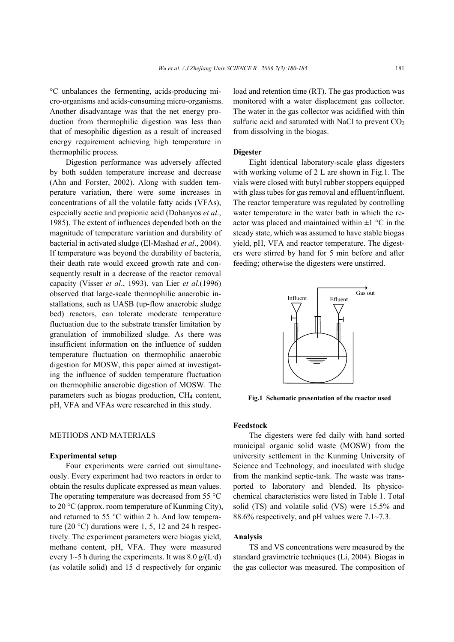°C unbalances the fermenting, acids-producing micro-organisms and acids-consuming micro-organisms. Another disadvantage was that the net energy production from thermophilic digestion was less than that of mesophilic digestion as a result of increased energy requirement achieving high temperature in thermophilic process.

Digestion performance was adversely affected by both sudden temperature increase and decrease (Ahn and Forster, 2002). Along with sudden temperature variation, there were some increases in concentrations of all the volatile fatty acids (VFAs), especially acetic and propionic acid (Dohanyos *et al*., 1985). The extent of influences depended both on the magnitude of temperature variation and durability of bacterial in activated sludge (El-Mashad *et al*., 2004). If temperature was beyond the durability of bacteria, their death rate would exceed growth rate and consequently result in a decrease of the reactor removal capacity (Visser *et al*., 1993). van Lier *et al*.(1996) observed that large-scale thermophilic anaerobic installations, such as UASB (up-flow anaerobic sludge bed) reactors, can tolerate moderate temperature fluctuation due to the substrate transfer limitation by granulation of immobilized sludge. As there was insufficient information on the influence of sudden temperature fluctuation on thermophilic anaerobic digestion for MOSW, this paper aimed at investigating the influence of sudden temperature fluctuation on thermophilic anaerobic digestion of MOSW. The parameters such as biogas production, CH<sub>4</sub> content, pH, VFA and VFAs were researched in this study.

## METHODS AND MATERIALS

#### **Experimental setup**

Four experiments were carried out simultaneously. Every experiment had two reactors in order to obtain the results duplicate expressed as mean values. The operating temperature was decreased from 55 °C to 20 °C (approx. room temperature of Kunming City), and returned to 55 °C within 2 h. And low temperature (20  $^{\circ}$ C) durations were 1, 5, 12 and 24 h respectively. The experiment parameters were biogas yield, methane content, pH, VFA. They were measured every  $1~5$  h during the experiments. It was  $8.0 \text{ g/(L·d)}$ (as volatile solid) and 15 d respectively for organic

load and retention time (RT). The gas production was monitored with a water displacement gas collector. The water in the gas collector was acidified with thin sulfuric acid and saturated with NaCl to prevent  $CO<sub>2</sub>$ from dissolving in the biogas.

#### **Digester**

Eight identical laboratory-scale glass digesters with working volume of 2 L are shown in Fig.1. The vials were closed with butyl rubber stoppers equipped with glass tubes for gas removal and effluent/influent. The reactor temperature was regulated by controlling water temperature in the water bath in which the reactor was placed and maintained within  $\pm 1$  °C in the steady state, which was assumed to have stable biogas yield, pH, VFA and reactor temperature. The digesters were stirred by hand for 5 min before and after feeding; otherwise the digesters were unstirred.



**Fig.1 Schematic presentation of the reactor used**

#### **Feedstock**

The digesters were fed daily with hand sorted municipal organic solid waste (MOSW) from the university settlement in the Kunming University of Science and Technology, and inoculated with sludge from the mankind septic-tank. The waste was transported to laboratory and blended. Its physicochemical characteristics were listed in Table 1. Total solid (TS) and volatile solid (VS) were 15.5% and 88.6% respectively, and pH values were 7.1~7.3.

# **Analysis**

TS and VS concentrations were measured by the standard gravimetric techniques (Li, 2004). Biogas in the gas collector was measured. The composition of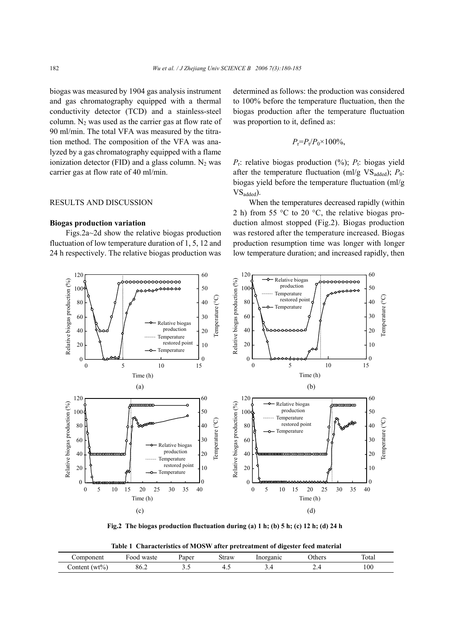biogas was measured by 1904 gas analysis instrument and gas chromatography equipped with a thermal conductivity detector (TCD) and a stainless-steel column. N<sub>2</sub> was used as the carrier gas at flow rate of 90 ml/min. The total VFA was measured by the titration method. The composition of the VFA was analyzed by a gas chromatography equipped with a flame ionization detector (FID) and a glass column.  $N_2$  was carrier gas at flow rate of 40 ml/min.

### RESULTS AND DISCUSSION

#### **Biogas production variation**

Figs.2a~2d show the relative biogas production fluctuation of low temperature duration of 1, 5, 12 and 24 h respectively. The relative biogas production was determined as follows: the production was considered to 100% before the temperature fluctuation, then the biogas production after the temperature fluctuation was proportion to it, defined as:

$$
P_{\rm r} = P_{\rm t}/P_0 \times 100\%,
$$

 $P<sub>r</sub>$ : relative biogas production (%);  $P<sub>t</sub>$ : biogas yield after the temperature fluctuation (ml/g  $VS_{added}$ );  $P_0$ : biogas yield before the temperature fluctuation (ml/g VS<sub>added</sub>).

When the temperatures decreased rapidly (within 2 h) from 55 °C to 20 °C, the relative biogas production almost stopped (Fig.2). Biogas production was restored after the temperature increased. Biogas production resumption time was longer with longer low temperature duration; and increased rapidly, then



**Fig.2 The biogas production fluctuation during (a) 1 h; (b) 5 h; (c) 12 h; (d) 24 h** 

| Table 1 Characteristics of MOSW after pretreatment of digester feed material |  |  |
|------------------------------------------------------------------------------|--|--|
|                                                                              |  |  |

| component         | waste<br>ood | Paper | straw | Inorganic | thers | $\sim$<br>Total |
|-------------------|--------------|-------|-------|-----------|-------|-----------------|
| $w_1\%$<br>ontent | 86.Z         |       |       | <u>.</u>  |       | 100             |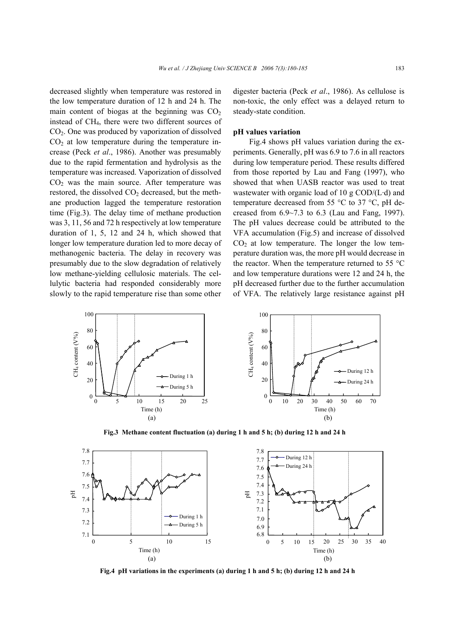decreased slightly when temperature was restored in the low temperature duration of 12 h and 24 h. The main content of biogas at the beginning was  $CO<sub>2</sub>$ instead of CH4, there were two different sources of CO2. One was produced by vaporization of dissolved  $CO<sub>2</sub>$  at low temperature during the temperature increase (Peck *et al*., 1986). Another was presumably due to the rapid fermentation and hydrolysis as the temperature was increased. Vaporization of dissolved  $CO<sub>2</sub>$  was the main source. After temperature was restored, the dissolved  $CO<sub>2</sub>$  decreased, but the methane production lagged the temperature restoration time (Fig.3). The delay time of methane production was 3, 11, 56 and 72 h respectively at low temperature duration of 1, 5, 12 and 24 h, which showed that longer low temperature duration led to more decay of methanogenic bacteria. The delay in recovery was presumably due to the slow degradation of relatively low methane-yielding cellulosic materials. The cellulytic bacteria had responded considerably more slowly to the rapid temperature rise than some other

digester bacteria (Peck *et al*., 1986). As cellulose is non-toxic, the only effect was a delayed return to steady-state condition.

#### **pH values variation**

Fig.4 shows pH values variation during the experiments. Generally, pH was 6.9 to 7.6 in all reactors during low temperature period. These results differed from those reported by Lau and Fang (1997), who showed that when UASB reactor was used to treat wastewater with organic load of 10 g COD/(L·d) and temperature decreased from 55 °C to 37 °C, pH decreased from 6.9~7.3 to 6.3 (Lau and Fang, 1997). The pH values decrease could be attributed to the VFA accumulation (Fig.5) and increase of dissolved  $CO<sub>2</sub>$  at low temperature. The longer the low temperature duration was, the more pH would decrease in the reactor. When the temperature returned to 55 °C and low temperature durations were 12 and 24 h, the pH decreased further due to the further accumulation of VFA. The relatively large resistance against pH



**Fig.3 Methane content fluctuation (a) during 1 h and 5 h; (b) during 12 h and 24 h**



**Fig.4 pH variations in the experiments (a) during 1 h and 5 h; (b) during 12 h and 24 h**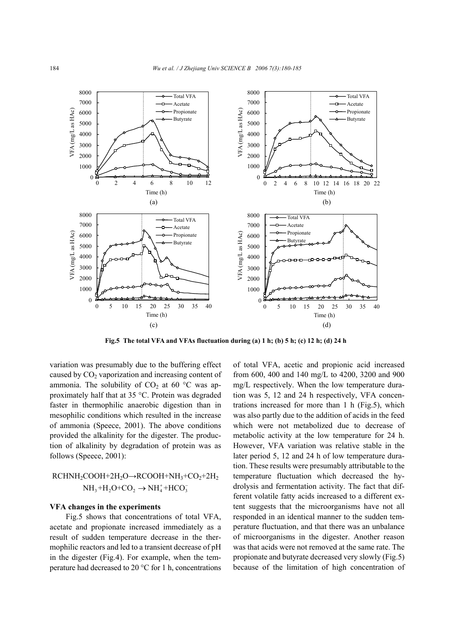

**Fig.5 The total VFA and VFAs fluctuation during (a) 1 h; (b) 5 h; (c) 12 h; (d) 24 h** 

variation was presumably due to the buffering effect caused by  $CO<sub>2</sub>$  vaporization and increasing content of ammonia. The solubility of  $CO<sub>2</sub>$  at 60 °C was approximately half that at 35 °C. Protein was degraded faster in thermophilic anaerobic digestion than in mesophilic conditions which resulted in the increase of ammonia (Speece, 2001). The above conditions provided the alkalinity for the digester. The production of alkalinity by degradation of protein was as follows (Speece, 2001):

# $RCHNH<sub>2</sub>COOH+2H<sub>2</sub>O\rightarrow RCOOH+NH<sub>3</sub>+CO<sub>2</sub>+2H<sub>2</sub>$  $NH<sub>3</sub>+H<sub>2</sub>O+CO<sub>2</sub> \rightarrow NH<sub>4</sub><sup>+</sup>+HCO<sub>3</sub><sup>-</sup>$

## **VFA changes in the experiments**

Fig.5 shows that concentrations of total VFA, acetate and propionate increased immediately as a result of sudden temperature decrease in the thermophilic reactors and led to a transient decrease of pH in the digester (Fig.4). For example, when the temperature had decreased to 20 °C for 1 h, concentrations of total VFA, acetic and propionic acid increased from 600, 400 and 140 mg/L to 4200, 3200 and 900 mg/L respectively. When the low temperature duration was 5, 12 and 24 h respectively, VFA concentrations increased for more than 1 h (Fig.5), which was also partly due to the addition of acids in the feed which were not metabolized due to decrease of metabolic activity at the low temperature for 24 h. However, VFA variation was relative stable in the later period 5, 12 and 24 h of low temperature duration. These results were presumably attributable to the temperature fluctuation which decreased the hydrolysis and fermentation activity. The fact that different volatile fatty acids increased to a different extent suggests that the microorganisms have not all responded in an identical manner to the sudden temperature fluctuation, and that there was an unbalance of microorganisms in the digester. Another reason was that acids were not removed at the same rate. The propionate and butyrate decreased very slowly (Fig.5) because of the limitation of high concentration of